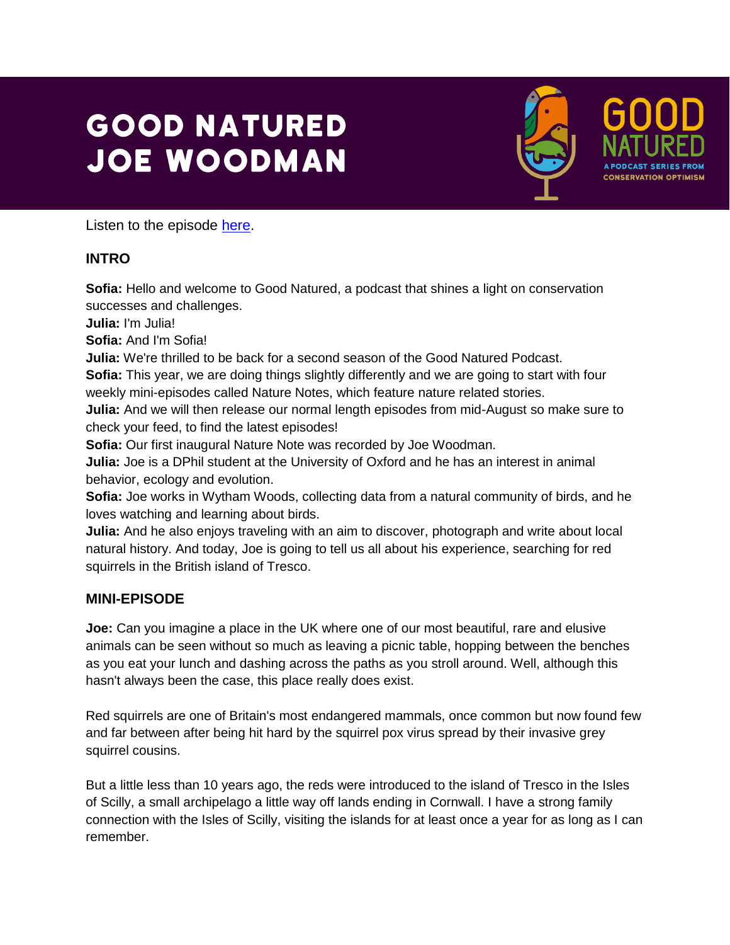## **GOOD NATURED JOE WOODMAN**



Listen to the episode [here.](https://podfollow.com/1514337431)

## **INTRO**

**Sofia:** Hello and welcome to Good Natured, a podcast that shines a light on conservation successes and challenges.

**Julia:** I'm Julia!

**Sofia:** And I'm Sofia!

**Julia:** We're thrilled to be back for a second season of the Good Natured Podcast.

**Sofia:** This year, we are doing things slightly differently and we are going to start with four weekly mini-episodes called Nature Notes, which feature nature related stories.

**Julia:** And we will then release our normal length episodes from mid-August so make sure to check your feed, to find the latest episodes!

**Sofia:** Our first inaugural Nature Note was recorded by Joe Woodman.

**Julia:** Joe is a DPhil student at the University of Oxford and he has an interest in animal behavior, ecology and evolution.

**Sofia:** Joe works in Wytham Woods, collecting data from a natural community of birds, and he loves watching and learning about birds.

**Julia:** And he also enjoys traveling with an aim to discover, photograph and write about local natural history. And today, Joe is going to tell us all about his experience, searching for red squirrels in the British island of Tresco.

## **MINI-EPISODE**

**Joe:** Can you imagine a place in the UK where one of our most beautiful, rare and elusive animals can be seen without so much as leaving a picnic table, hopping between the benches as you eat your lunch and dashing across the paths as you stroll around. Well, although this hasn't always been the case, this place really does exist.

Red squirrels are one of Britain's most endangered mammals, once common but now found few and far between after being hit hard by the squirrel pox virus spread by their invasive grey squirrel cousins.

But a little less than 10 years ago, the reds were introduced to the island of Tresco in the Isles of Scilly, a small archipelago a little way off lands ending in Cornwall. I have a strong family connection with the Isles of Scilly, visiting the islands for at least once a year for as long as I can remember.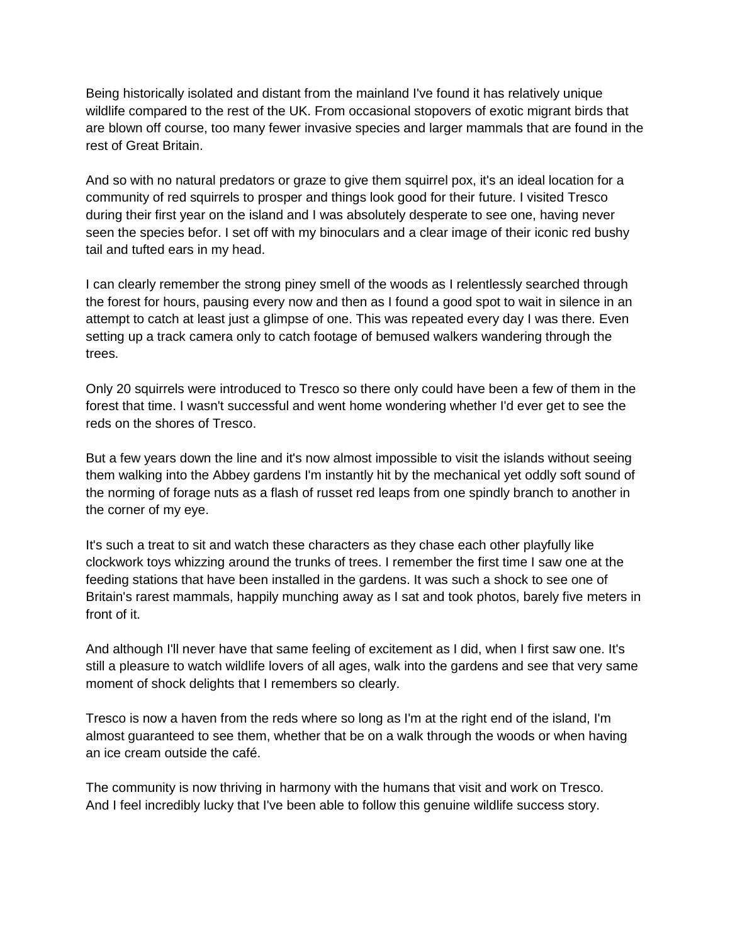Being historically isolated and distant from the mainland I've found it has relatively unique wildlife compared to the rest of the UK. From occasional stopovers of exotic migrant birds that are blown off course, too many fewer invasive species and larger mammals that are found in the rest of Great Britain.

And so with no natural predators or graze to give them squirrel pox, it's an ideal location for a community of red squirrels to prosper and things look good for their future. I visited Tresco during their first year on the island and I was absolutely desperate to see one, having never seen the species befor. I set off with my binoculars and a clear image of their iconic red bushy tail and tufted ears in my head.

I can clearly remember the strong piney smell of the woods as I relentlessly searched through the forest for hours, pausing every now and then as I found a good spot to wait in silence in an attempt to catch at least just a glimpse of one. This was repeated every day I was there. Even setting up a track camera only to catch footage of bemused walkers wandering through the trees.

Only 20 squirrels were introduced to Tresco so there only could have been a few of them in the forest that time. I wasn't successful and went home wondering whether I'd ever get to see the reds on the shores of Tresco.

But a few years down the line and it's now almost impossible to visit the islands without seeing them walking into the Abbey gardens I'm instantly hit by the mechanical yet oddly soft sound of the norming of forage nuts as a flash of russet red leaps from one spindly branch to another in the corner of my eye.

It's such a treat to sit and watch these characters as they chase each other playfully like clockwork toys whizzing around the trunks of trees. I remember the first time I saw one at the feeding stations that have been installed in the gardens. It was such a shock to see one of Britain's rarest mammals, happily munching away as I sat and took photos, barely five meters in front of it.

And although I'll never have that same feeling of excitement as I did, when I first saw one. It's still a pleasure to watch wildlife lovers of all ages, walk into the gardens and see that very same moment of shock delights that I remembers so clearly.

Tresco is now a haven from the reds where so long as I'm at the right end of the island, I'm almost guaranteed to see them, whether that be on a walk through the woods or when having an ice cream outside the café.

The community is now thriving in harmony with the humans that visit and work on Tresco. And I feel incredibly lucky that I've been able to follow this genuine wildlife success story.